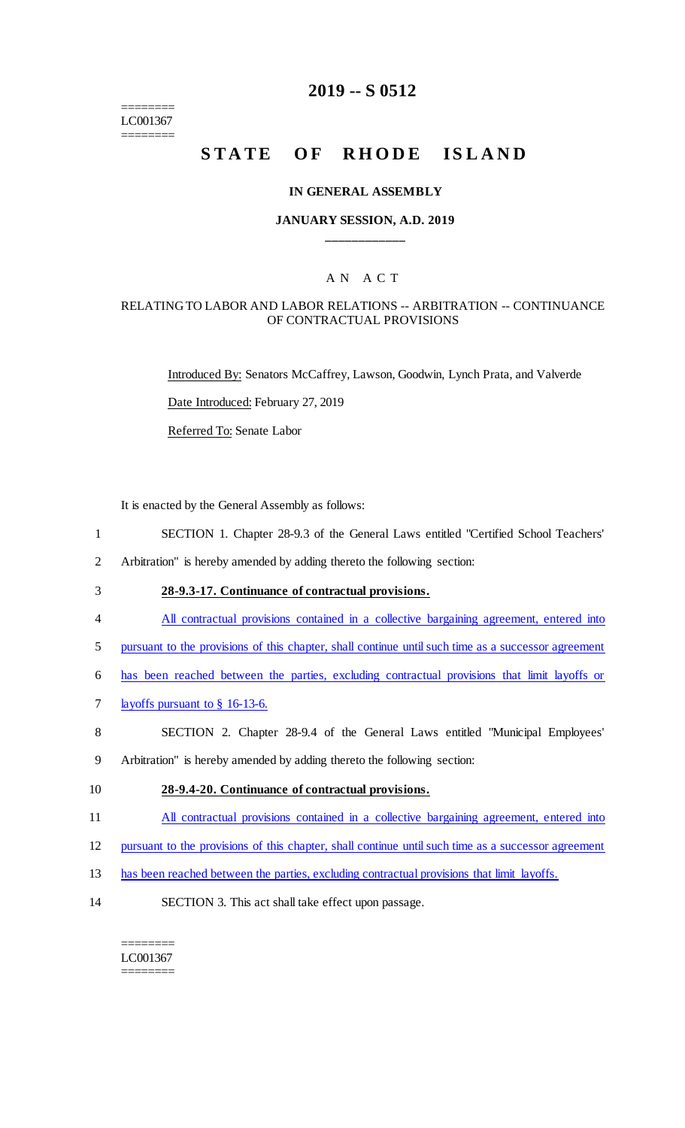======== LC001367 ========

# **2019 -- S 0512**

# **STATE OF RHODE ISLAND**

#### **IN GENERAL ASSEMBLY**

#### **JANUARY SESSION, A.D. 2019 \_\_\_\_\_\_\_\_\_\_\_\_**

## A N A C T

#### RELATING TO LABOR AND LABOR RELATIONS -- ARBITRATION -- CONTINUANCE OF CONTRACTUAL PROVISIONS

Introduced By: Senators McCaffrey, Lawson, Goodwin, Lynch Prata, and Valverde

Date Introduced: February 27, 2019

Referred To: Senate Labor

It is enacted by the General Assembly as follows:

- 1 SECTION 1. Chapter 28-9.3 of the General Laws entitled "Certified School Teachers'
- 2 Arbitration" is hereby amended by adding thereto the following section:
- 3 **28-9.3-17. Continuance of contractual provisions.**
- 4 All contractual provisions contained in a collective bargaining agreement, entered into
- 5 pursuant to the provisions of this chapter, shall continue until such time as a successor agreement
- 6 has been reached between the parties, excluding contractual provisions that limit layoffs or
- 7 layoffs pursuant to § 16-13-6.
- 8 SECTION 2. Chapter 28-9.4 of the General Laws entitled "Municipal Employees'
- 9 Arbitration" is hereby amended by adding thereto the following section:
- 10 **28-9.4-20. Continuance of contractual provisions.**
- 11 All contractual provisions contained in a collective bargaining agreement, entered into
- 12 pursuant to the provisions of this chapter, shall continue until such time as a successor agreement
- 13 has been reached between the parties, excluding contractual provisions that limit layoffs.
- 14 SECTION 3. This act shall take effect upon passage.

======== LC001367 ========